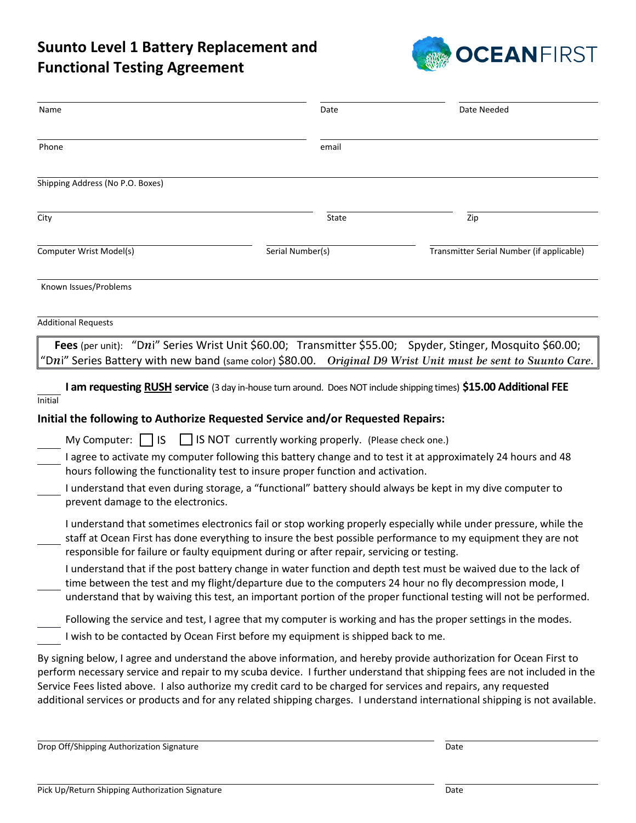## **Suunto Level 1 Battery Replacement and Functional Testing Agreement**



| Name                                                                      | Date                                                                                                                                                                                                                                                     | Date Needed                                                                                                                                                                                                                                                                                                                                                                                                                                                                |
|---------------------------------------------------------------------------|----------------------------------------------------------------------------------------------------------------------------------------------------------------------------------------------------------------------------------------------------------|----------------------------------------------------------------------------------------------------------------------------------------------------------------------------------------------------------------------------------------------------------------------------------------------------------------------------------------------------------------------------------------------------------------------------------------------------------------------------|
| Phone                                                                     | email                                                                                                                                                                                                                                                    |                                                                                                                                                                                                                                                                                                                                                                                                                                                                            |
| Shipping Address (No P.O. Boxes)                                          |                                                                                                                                                                                                                                                          |                                                                                                                                                                                                                                                                                                                                                                                                                                                                            |
| City                                                                      | State                                                                                                                                                                                                                                                    | Zip                                                                                                                                                                                                                                                                                                                                                                                                                                                                        |
| Computer Wrist Model(s)                                                   | Serial Number(s)                                                                                                                                                                                                                                         | Transmitter Serial Number (if applicable)                                                                                                                                                                                                                                                                                                                                                                                                                                  |
| Known Issues/Problems                                                     |                                                                                                                                                                                                                                                          |                                                                                                                                                                                                                                                                                                                                                                                                                                                                            |
| <b>Additional Requests</b>                                                |                                                                                                                                                                                                                                                          |                                                                                                                                                                                                                                                                                                                                                                                                                                                                            |
|                                                                           |                                                                                                                                                                                                                                                          | Fees (per unit): "Dni" Series Wrist Unit \$60.00; Transmitter \$55.00; Spyder, Stinger, Mosquito \$60.00;<br>"Dni" Series Battery with new band (same color) \$80.00. Original D9 Wrist Unit must be sent to Suunto Care.                                                                                                                                                                                                                                                  |
| Initial                                                                   | Initial the following to Authorize Requested Service and/or Requested Repairs:                                                                                                                                                                           | I am requesting RUSH service (3 day in-house turn around. Does NOT include shipping times) \$15.00 Additional FEE                                                                                                                                                                                                                                                                                                                                                          |
| My Computer: $\vert \cdot \vert$ IS<br>prevent damage to the electronics. | IS NOT currently working properly. (Please check one.)<br>hours following the functionality test to insure proper function and activation.<br>I understand that even during storage, a "functional" battery should always be kept in my dive computer to | I agree to activate my computer following this battery change and to test it at approximately 24 hours and 48                                                                                                                                                                                                                                                                                                                                                              |
|                                                                           | responsible for failure or faulty equipment during or after repair, servicing or testing.<br>time between the test and my flight/departure due to the computers 24 hour no fly decompression mode, I                                                     | I understand that sometimes electronics fail or stop working properly especially while under pressure, while the<br>staff at Ocean First has done everything to insure the best possible performance to my equipment they are not<br>I understand that if the post battery change in water function and depth test must be waived due to the lack of<br>understand that by waiving this test, an important portion of the proper functional testing will not be performed. |
|                                                                           | I wish to be contacted by Ocean First before my equipment is shipped back to me.                                                                                                                                                                         | Following the service and test, I agree that my computer is working and has the proper settings in the modes.<br>By signing below, I agree and understand the above information, and hereby provide authorization for Ocean First to                                                                                                                                                                                                                                       |
|                                                                           |                                                                                                                                                                                                                                                          | m necessary semice and repair to my seules dovise. I further understand that shipping fees are not included in the                                                                                                                                                                                                                                                                                                                                                         |

perform necessary service and repair to my scuba device. I further understand that shipping fees are not included in the Service Fees listed above. I also authorize my credit card to be charged for services and repairs, any requested additional services or products and for any related shipping charges. I understand international shipping is not available.

Drop Off/Shipping Authorization Signature data and the control of the Date of Date Date of Date